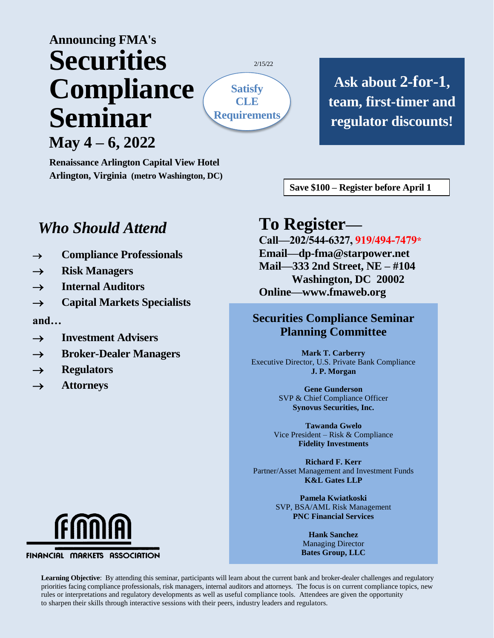# **Announcing FMA's Securities Compliance Seminar May 4 – 6, 2022**

**Renaissance Arlington Capital View Hotel Arlington, Virginia (metro Washington, DC)**

**Ask about 2-for-1, team, first-timer and regulator discounts!**

2/15/22 **(Craig…not the sun shape)**

**Save \$100 – Register before April 1**

## *Who Should Attend*

- **Compliance Professionals**
- **Risk Managers**
- **Internal Auditors**
- **Capital Markets Specialists**

**and…**

- **Investment Advisers**
- **Broker-Dealer Managers**
- $\rightarrow$  Regulators
- **Attorneys**

## **To Register—**

**Satisfy CLE Requirements**

> **Call—202/544-6327, 919/494-7479\* Email—dp-fma@starpower.net Mail—333 2nd Street, NE – #104 Washington, DC 20002 Online—www.fmaweb.org**

## **Securities Compliance Seminar Planning Committee**

**Mark T. Carberry** Executive Director, U.S. Private Bank Compliance **J. P. Morgan**

> **Gene Gunderson** SVP & Chief Compliance Officer **Synovus Securities, Inc.**

**Tawanda Gwelo** Vice President – Risk & Compliance **Fidelity Investments**

**Richard F. Kerr** Partner/Asset Management and Investment Funds **K&L Gates LLP**

> **Pamela Kwiatkoski** SVP, BSA/AML Risk Management **PNC Financial Services**

> > **Hank Sanchez** Managing Director **Bates Group, LLC**



FINANCIAL MARKETS ASSOCIATION

**Learning Objective**: By attending this seminar, participants will learn about the current bank and broker-dealer challenges and regulatory priorities facing compliance professionals, risk managers, internal auditors and attorneys. The focus is on current compliance topics, new rules or interpretations and regulatory developments as well as useful compliance tools. Attendees are given the opportunity to sharpen their skills through interactive sessions with their peers, industry leaders and regulators.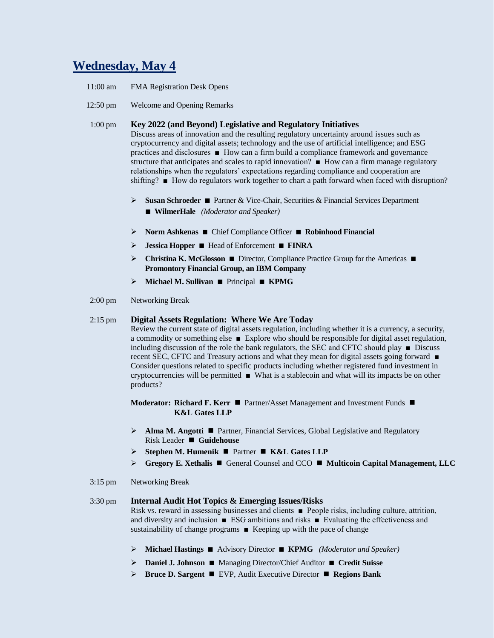## **Wednesday, May 4**

- 11:00 am FMA Registration Desk Opens
- 12:50 pm Welcome and Opening Remarks

#### 1:00 pm **Key 2022 (and Beyond) Legislative and Regulatory Initiatives**

Discuss areas of innovation and the resulting regulatory uncertainty around issues such as cryptocurrency and digital assets; technology and the use of artificial intelligence; and ESG practices and disclosures ■ How can a firm build a compliance framework and governance structure that anticipates and scales to rapid innovation? ■ How can a firm manage regulatory relationships when the regulators' expectations regarding compliance and cooperation are shifting? ■ How do regulators work together to chart a path forward when faced with disruption?

- **Susan Schroeder ■** Partner & Vice-Chair, Securities & Financial Services Department **■ WilmerHale** *(Moderator and Speaker)*
- **Norm Ashkenas ■** Chief Compliance Officer **■ Robinhood Financial**
- **Jessica Hopper ■** Head of Enforcement **■ FINRA**
- **Christina K. McGlosson ■** Director, Compliance Practice Group for the Americas  **Promontory Financial Group, an IBM Company**
- **Michael M. Sullivan ■** Principal **■ KPMG**
- 2:00 pm Networking Break

#### 2:15 pm **Digital Assets Regulation: Where We Are Today**

Review the current state of digital assets regulation, including whether it is a currency, a security, a commodity or something else ■ Explore who should be responsible for digital asset regulation, including discussion of the role the bank regulators, the SEC and CFTC should play  $\blacksquare$  Discuss recent SEC, CFTC and Treasury actions and what they mean for digital assets going forward ■ Consider questions related to specific products including whether registered fund investment in cryptocurrencies will be permitted ■ What is a stablecoin and what will its impacts be on other products?

**Moderator: Richard F. Kerr ■** Partner/Asset Management and Investment Funds ■ **K&L Gates LLP**

- **Alma M. Angotti** Partner, Financial Services, Global Legislative and Regulatory Risk Leader **Cuidehouse**
- **Stephen M. Humenik** Partner **K&L Gates LLP**
- **Gregory E. Xethalis** General Counsel and CCO **Multicoin Capital Management, LLC**
- 3:15 pm Networking Break

#### 3:30 pm **Internal Audit Hot Topics & Emerging Issues/Risks**

Risk vs. reward in assessing businesses and clients ■ People risks, including culture, attrition, and diversity and inclusion  $\blacksquare$  ESG ambitions and risks  $\blacksquare$  Evaluating the effectiveness and sustainability of change programs ■ Keeping up with the pace of change

- **Michael Hastings ■** Advisory Director **■ KPMG** *(Moderator and Speaker)*
- **Daniel J. Johnson ■** Managing Director/Chief Auditor **■ Credit Suisse**
- **Bruce D. Sargent** EVP, Audit Executive Director **Regions Bank**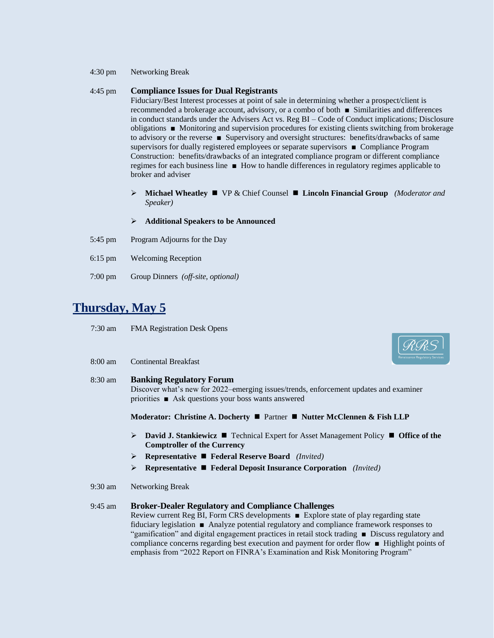4:30 pm Networking Break

#### 4:45 pm **Compliance Issues for Dual Registrants**

Fiduciary/Best Interest processes at point of sale in determining whether a prospect/client is recommended a brokerage account, advisory, or a combo of both ■ Similarities and differences in conduct standards under the Advisers Act vs. Reg BI – Code of Conduct implications; Disclosure obligations ■ Monitoring and supervision procedures for existing clients switching from brokerage to advisory or the reverse ■ Supervisory and oversight structures: benefits/drawbacks of same supervisors for dually registered employees or separate supervisors ■ Compliance Program Construction: benefits/drawbacks of an integrated compliance program or different compliance regimes for each business line ■ How to handle differences in regulatory regimes applicable to broker and adviser

- **Michael Wheatley** VP & Chief Counsel  **Lincoln Financial Group** *(Moderator and Speaker)*
- **Additional Speakers to be Announced**
- 5:45 pm Program Adjourns for the Day
- 6:15 pm Welcoming Reception
- 7:00 pm Group Dinners *(off-site, optional)*

## **Thursday, May 5**

- 7:30 am FMA Registration Desk Opens
- 8:00 am Continental Breakfast

## 8:30 am **Banking Regulatory Forum** Discover what's new for 2022–emerging issues/trends, enforcement updates and examiner priorities ■ Ask questions your boss wants answered **Moderator: Christine A. Docherty** Partner **Nutter McClennen & Fish LLP David J. Stankiewicz** Technical Expert for Asset Management Policy **Office of the Comptroller of the Currency Representative Federal Reserve Board** *(Invited)* **Representative Federal Deposit Insurance Corporation** *(Invited)* 9:30 am Networking Break 9:45 am **Broker-Dealer Regulatory and Compliance Challenges** Review current Reg BI, Form CRS developments ■ Explore state of play regarding state

fiduciary legislation ■ Analyze potential regulatory and compliance framework responses to "gamification" and digital engagement practices in retail stock trading ■ Discuss regulatory and compliance concerns regarding best execution and payment for order flow ■ Highlight points of emphasis from "2022 Report on FINRA's Examination and Risk Monitoring Program"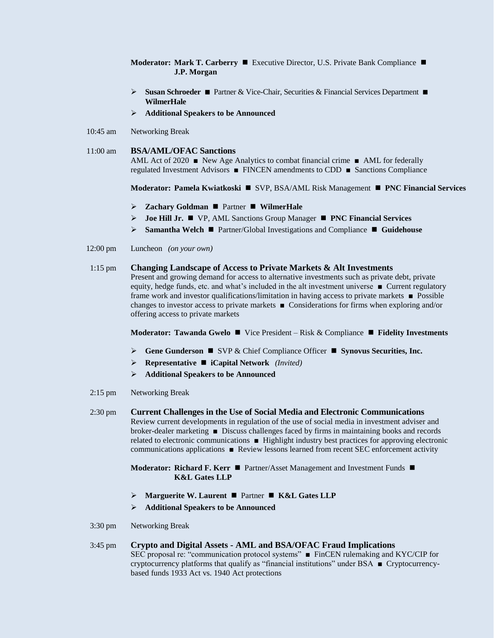**Moderator: Mark T. Carberry** ■ Executive Director, U.S. Private Bank Compliance ■ **J.P. Morgan**

- **Susan Schroeder ■** Partner & Vice-Chair, Securities & Financial Services Department **■ WilmerHale**
- **Additional Speakers to be Announced**
- 10:45 am Networking Break

#### 11:00 am **BSA/AML/OFAC Sanctions**

AML Act of 2020 ■ New Age Analytics to combat financial crime ■ AML for federally regulated Investment Advisors ■ FINCEN amendments to CDD ■ Sanctions Compliance

**Moderator: Pamela Kwiatkoski** SVP, BSA/AML Risk Management **PNC Financial Services**

- **Zachary Goldman**  Partner **WilmerHale**
- **Joe Hill Jr.** VP, AML Sanctions Group Manager **PNC Financial Services**
- **►** Samantha Welch **■** Partner/Global Investigations and Compliance Guidehouse
- 12:00 pm Luncheon *(on your own)*

#### 1:15 pm **Changing Landscape of Access to Private Markets & Alt Investments**

Present and growing demand for access to alternative investments such as private debt, private equity, hedge funds, etc. and what's included in the alt investment universe ■ Current regulatory frame work and investor qualifications/limitation in having access to private markets ■ Possible changes to investor access to private markets ■ Considerations for firms when exploring and/or offering access to private markets

#### **Moderator: Tawanda Gwelo ■** Vice President – Risk & Compliance ■ Fidelity Investments

- **Gene Gunderson** SVP & Chief Compliance Officer **Synovus Securities, Inc.**
- **Representative iCapital Network** *(Invited)*
- **Additional Speakers to be Announced**
- 2:15 pm Networking Break
- 2:30 pm **Current Challenges in the Use of Social Media and Electronic Communications** Review current developments in regulation of the use of social media in investment adviser and broker-dealer marketing ■ Discuss challenges faced by firms in maintaining books and records related to electronic communications ■ Highlight industry best practices for approving electronic communications applications ■ Review lessons learned from recent SEC enforcement activity

**Moderator: Richard F. Kerr** ■ Partner/Asset Management and Investment Funds ■ **K&L Gates LLP**

- **Marguerite W. Laurent** Partner **K&L Gates LLP**
- **Additional Speakers to be Announced**
- 3:30 pm Networking Break
- 3:45 pm **Crypto and Digital Assets - AML and BSA/OFAC Fraud Implications** SEC proposal re: "communication protocol systems"■FinCEN rulemaking and KYC/CIP for cryptocurrency platforms that qualify as "financial institutions" under BSA ■ Cryptocurrencybased funds 1933 Act vs. 1940 Act protections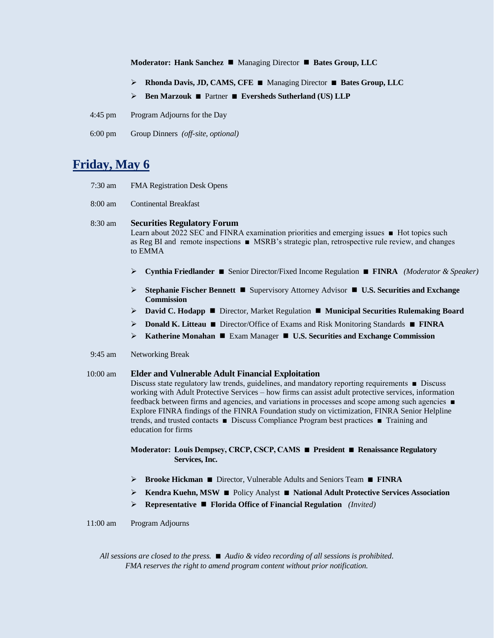#### **Moderator: Hank Sanchez** ■ Managing Director ■ Bates Group, LLC

- **Rhonda Davis, JD, CAMS, CFE ■** Managing Director **■ Bates Group, LLC**
- **Ben Marzouk ■** Partner **■ Eversheds Sutherland (US) LLP**
- 4:45 pm Program Adjourns for the Day
- 6:00 pm Group Dinners *(off-site, optional)*

## **Friday, May 6**

- 7:30 am FMA Registration Desk Opens
- 8:00 am Continental Breakfast

8:30 am **Securities Regulatory Forum** Learn about 2022 SEC and FINRA examination priorities and emerging issues ■ Hot topics such as Reg BI and remote inspections ■ MSRB's strategic plan, retrospective rule review, and changes to EMMA

- **Cynthia Friedlander ■** Senior Director/Fixed Income Regulation **■ FINRA** *(Moderator & Speaker)*
- **►** Stephanie Fischer Bennett Supervisory Attorney Advisor U.S. Securities and Exchange **Commission**
- **David C. Hodapp** Director, Market Regulation **Municipal Securities Rulemaking Board**
- **Donald K. Litteau ■** Director/Office of Exams and Risk Monitoring Standards **■ FINRA**
- **Katherine Monahan** Exam Manager  **U.S. Securities and Exchange Commission**
- 9:45 am Networking Break

#### 10:00 am **Elder and Vulnerable Adult Financial Exploitation**

Discuss state regulatory law trends, guidelines, and mandatory reporting requirements ■ Discuss working with Adult Protective Services – how firms can assist adult protective services, information feedback between firms and agencies, and variations in processes and scope among such agencies ■ Explore FINRA findings of the FINRA Foundation study on victimization, FINRA Senior Helpline trends, and trusted contacts ■ Discuss Compliance Program best practices ■ Training and education for firms

**Moderator: Louis Dempsey, CRCP, CSCP, CAMS ■ President ■ Renaissance Regulatory Services, Inc.**

- **Brooke Hickman ■** Director, Vulnerable Adults and Seniors Team **■ FINRA**
- **Kendra Kuehn, MSW ■** Policy Analyst **■ National Adult Protective Services Association**
- **Representative Florida Office of Financial Regulation** *(Invited)*

11:00 am Program Adjourns

*All sessions are closed to the press. ■ Audio & video recording of all sessions is prohibited. FMA reserves the right to amend program content without prior notification.*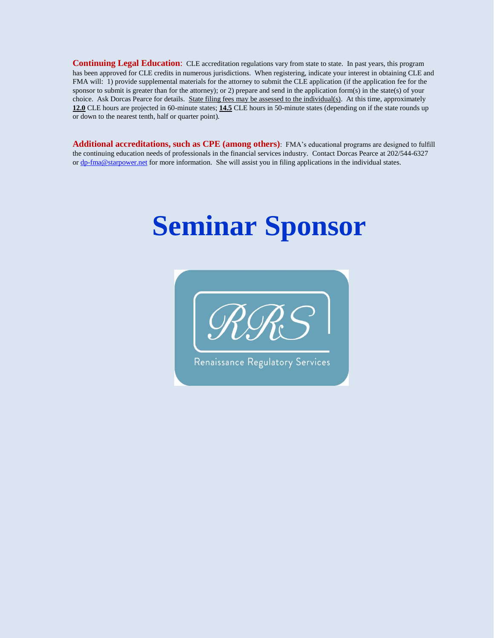**Continuing Legal Education:** CLE accreditation regulations vary from state to state. In past years, this program has been approved for CLE credits in numerous jurisdictions. When registering, indicate your interest in obtaining CLE and FMA will: 1) provide supplemental materials for the attorney to submit the CLE application (if the application fee for the sponsor to submit is greater than for the attorney); or 2) prepare and send in the application form(s) in the state(s) of your choice. Ask Dorcas Pearce for details. State filing fees may be assessed to the individual(s). At this time, approximately **12.0** CLE hours are projected in 60-minute states; **14.5** CLE hours in 50-minute states (depending on if the state rounds up or down to the nearest tenth, half or quarter point).

**Additional accreditations, such as CPE (among others)**: FMA's educational programs are designed to fulfill the continuing education needs of professionals in the financial services industry. Contact Dorcas Pearce at 202/544-6327 o[r dp-fma@starpower.net](mailto:dp-fma@starpower.net) for more information. She will assist you in filing applications in the individual states.

# **Seminar Sponsor**